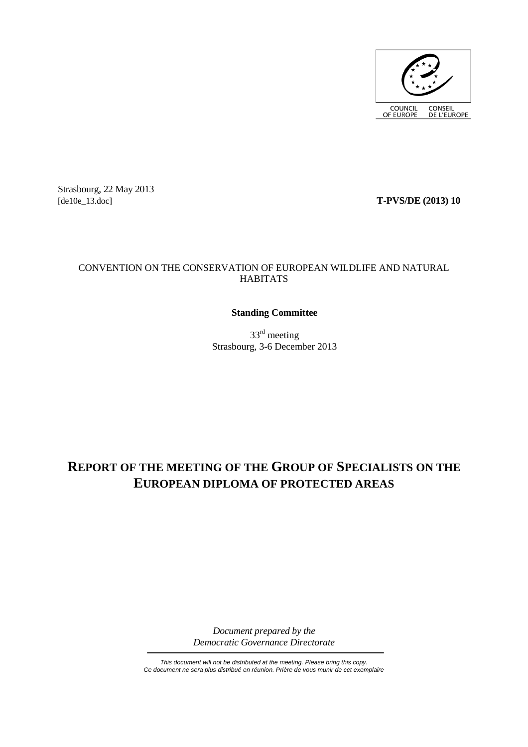

Strasbourg, 22 May 2013<br>[de10e\_13.doc]

[de10e\_13.doc] **T-PVS/DE (2013) 10**

## CONVENTION ON THE CONSERVATION OF EUROPEAN WILDLIFE AND NATURAL **HABITATS**

## **Standing Committee**

33rd meeting Strasbourg, 3-6 December 2013

# **REPORT OF THE MEETING OF THE GROUP OF SPECIALISTS ON THE EUROPEAN DIPLOMA OF PROTECTED AREAS**

*Document prepared by the Democratic Governance Directorate*

*This document will not be distributed at the meeting. Please bring this copy. Ce document ne sera plus distribué en réunion. Prière de vous munir de cet exemplaire*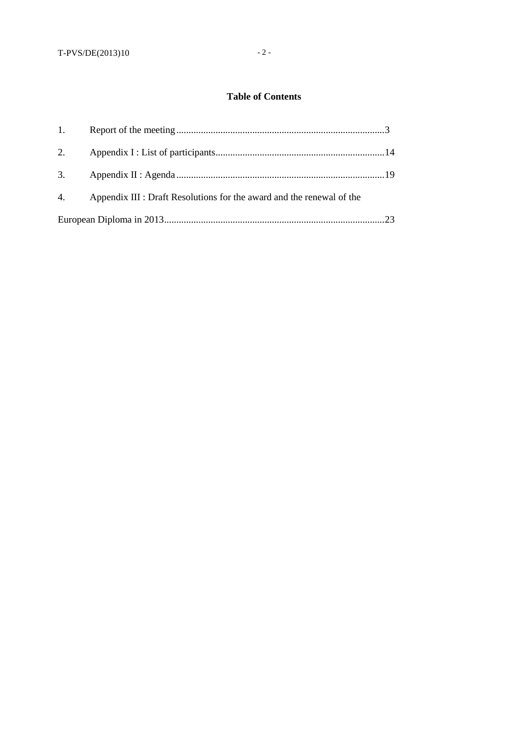## **Table of Contents**

| 1. |                                                                       |  |
|----|-----------------------------------------------------------------------|--|
| 2. |                                                                       |  |
| 3. |                                                                       |  |
| 4. | Appendix III : Draft Resolutions for the award and the renewal of the |  |
|    |                                                                       |  |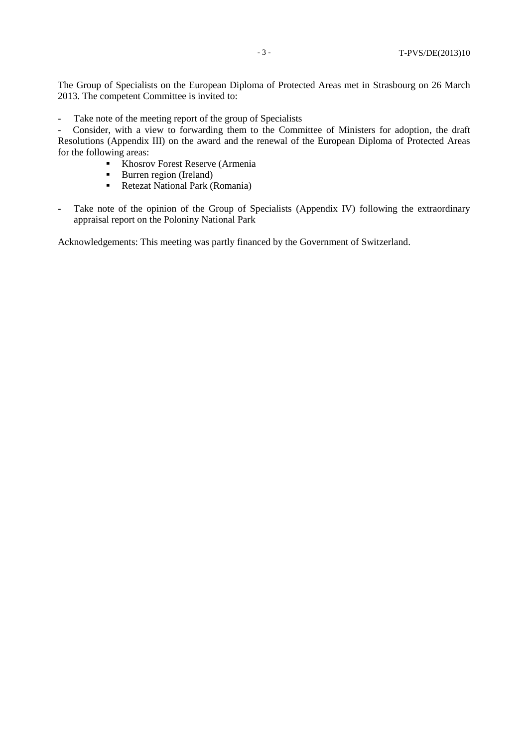The Group of Specialists on the European Diploma of Protected Areas met in Strasbourg on 26 March 2013. The competent Committee is invited to:

- Take note of the meeting report of the group of Specialists

- Consider, with a view to forwarding them to the Committee of Ministers for adoption, the draft Resolutions (Appendix III) on the award and the renewal of the European Diploma of Protected Areas for the following areas:

- Khosrov Forest Reserve (Armenia
- **Burren region (Ireland)**
- Retezat National Park (Romania)
- Take note of the opinion of the Group of Specialists (Appendix IV) following the extraordinary appraisal report on the Poloniny National Park

Acknowledgements: This meeting was partly financed by the Government of Switzerland.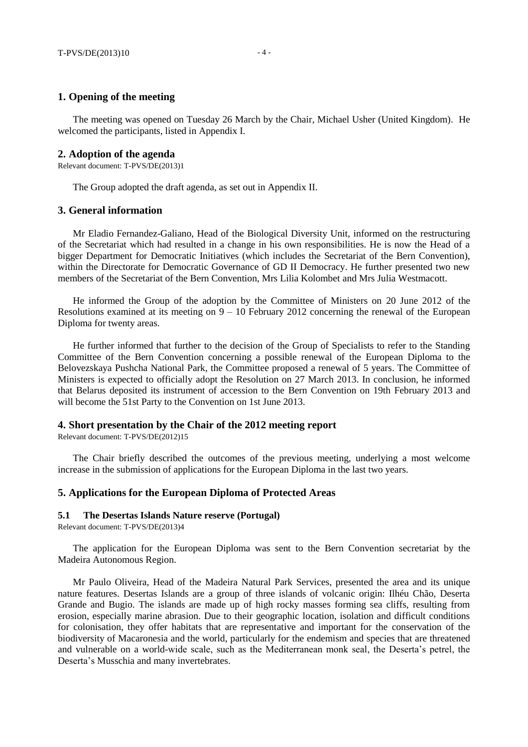#### **1. Opening of the meeting**

The meeting was opened on Tuesday 26 March by the Chair, Michael Usher (United Kingdom). He welcomed the participants, listed in Appendix I.

#### **2. Adoption of the agenda**

Relevant document: T-PVS/DE(2013)1

The Group adopted the draft agenda, as set out in Appendix II.

### **3. General information**

Mr Eladio Fernandez-Galiano, Head of the Biological Diversity Unit, informed on the restructuring of the Secretariat which had resulted in a change in his own responsibilities. He is now the Head of a bigger Department for Democratic Initiatives (which includes the Secretariat of the Bern Convention), within the Directorate for Democratic Governance of GD II Democracy. He further presented two new members of the Secretariat of the Bern Convention, Mrs Lilia Kolombet and Mrs Julia Westmacott.

He informed the Group of the adoption by the Committee of Ministers on 20 June 2012 of the Resolutions examined at its meeting on  $9 - 10$  February 2012 concerning the renewal of the European Diploma for twenty areas.

He further informed that further to the decision of the Group of Specialists to refer to the Standing Committee of the Bern Convention concerning a possible renewal of the European Diploma to the Belovezskaya Pushcha National Park, the Committee proposed a renewal of 5 years. The Committee of Ministers is expected to officially adopt the Resolution on 27 March 2013. In conclusion, he informed that Belarus deposited its instrument of accession to the Bern Convention on 19th February 2013 and will become the 51st Party to the Convention on 1st June 2013.

## **4. Short presentation by the Chair of the 2012 meeting report**

Relevant document: T-PVS/DE(2012)15

The Chair briefly described the outcomes of the previous meeting, underlying a most welcome increase in the submission of applications for the European Diploma in the last two years.

#### **5. Applications for the European Diploma of Protected Areas**

#### **5.1 The Desertas Islands Nature reserve (Portugal)**

Relevant document: T-PVS/DE(2013)4

The application for the European Diploma was sent to the Bern Convention secretariat by the Madeira Autonomous Region.

Mr Paulo Oliveira, Head of the Madeira Natural Park Services, presented the area and its unique nature features. Desertas Islands are a group of three islands of volcanic origin: Ilhéu Chão, Deserta Grande and Bugio. The islands are made up of high rocky masses forming sea cliffs, resulting from erosion, especially marine abrasion. Due to their geographic location, isolation and difficult conditions for colonisation, they offer habitats that are representative and important for the conservation of the biodiversity of Macaronesia and the world, particularly for the endemism and species that are threatened and vulnerable on a world-wide scale, such as the Mediterranean monk seal, the Deserta's petrel, the Deserta's Musschia and many invertebrates.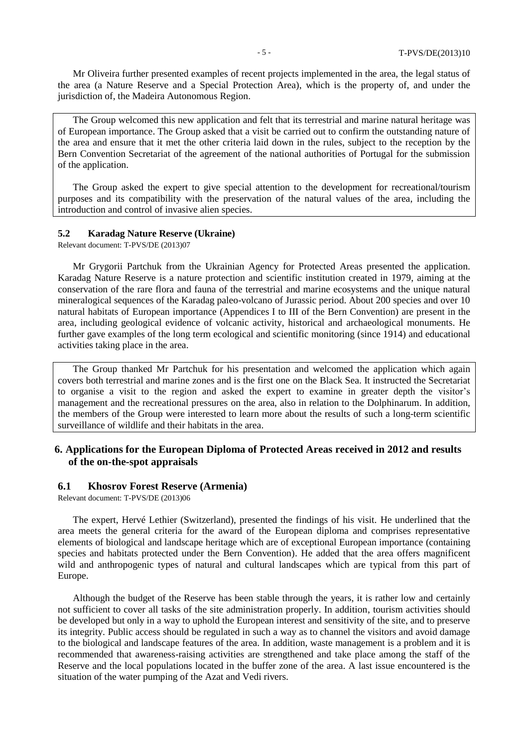Mr Oliveira further presented examples of recent projects implemented in the area, the legal status of the area (a Nature Reserve and a Special Protection Area), which is the property of, and under the jurisdiction of, the Madeira Autonomous Region.

The Group welcomed this new application and felt that its terrestrial and marine natural heritage was of European importance. The Group asked that a visit be carried out to confirm the outstanding nature of the area and ensure that it met the other criteria laid down in the rules, subject to the reception by the Bern Convention Secretariat of the agreement of the national authorities of Portugal for the submission of the application.

The Group asked the expert to give special attention to the development for recreational/tourism purposes and its compatibility with the preservation of the natural values of the area, including the introduction and control of invasive alien species.

#### **5.2 Karadag Nature Reserve (Ukraine)**

Relevant document: T-PVS/DE (2013)07

Mr Grygorii Partchuk from the Ukrainian Agency for Protected Areas presented the application. Karadag Nature Reserve is a nature protection and scientific institution created in 1979, aiming at the conservation of the rare flora and fauna of the terrestrial and marine ecosystems and the unique natural mineralogical sequences of the Karadag paleo-volcano of Jurassic period. About 200 species and over 10 natural habitats of European importance (Appendices I to III of the Bern Convention) are present in the area, including geological evidence of volcanic activity, historical and archaeological monuments. He further gave examples of the long term ecological and scientific monitoring (since 1914) and educational activities taking place in the area.

The Group thanked Mr Partchuk for his presentation and welcomed the application which again covers both terrestrial and marine zones and is the first one on the Black Sea. It instructed the Secretariat to organise a visit to the region and asked the expert to examine in greater depth the visitor's management and the recreational pressures on the area, also in relation to the Dolphinarum. In addition, the members of the Group were interested to learn more about the results of such a long-term scientific surveillance of wildlife and their habitats in the area.

## **6. Applications for the European Diploma of Protected Areas received in 2012 and results of the on-the-spot appraisals**

#### **6.1 Khosrov Forest Reserve (Armenia)**

Relevant document: T-PVS/DE (2013)06

The expert, Hervé Lethier (Switzerland), presented the findings of his visit. He underlined that the area meets the general criteria for the award of the European diploma and comprises representative elements of biological and landscape heritage which are of exceptional European importance (containing species and habitats protected under the Bern Convention). He added that the area offers magnificent wild and anthropogenic types of natural and cultural landscapes which are typical from this part of Europe.

Although the budget of the Reserve has been stable through the years, it is rather low and certainly not sufficient to cover all tasks of the site administration properly. In addition, tourism activities should be developed but only in a way to uphold the European interest and sensitivity of the site, and to preserve its integrity. Public access should be regulated in such a way as to channel the visitors and avoid damage to the biological and landscape features of the area. In addition, waste management is a problem and it is recommended that awareness-raising activities are strengthened and take place among the staff of the Reserve and the local populations located in the buffer zone of the area. A last issue encountered is the situation of the water pumping of the Azat and Vedi rivers.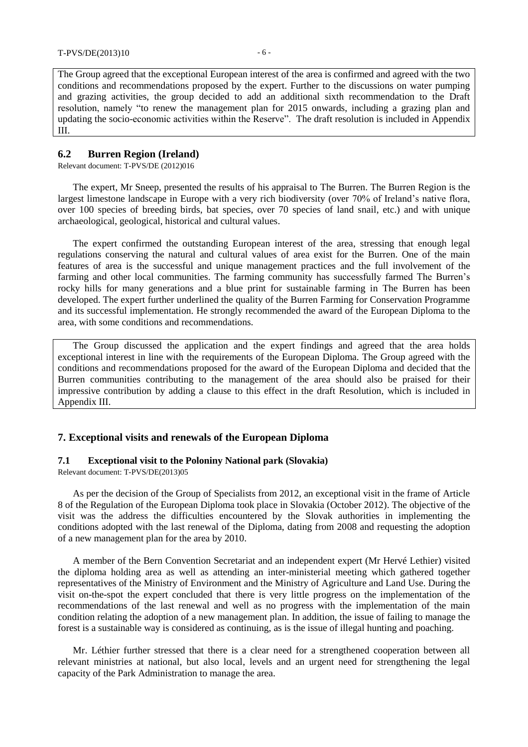The Group agreed that the exceptional European interest of the area is confirmed and agreed with the two conditions and recommendations proposed by the expert. Further to the discussions on water pumping and grazing activities, the group decided to add an additional sixth recommendation to the Draft resolution, namely "to renew the management plan for 2015 onwards, including a grazing plan and updating the socio-economic activities within the Reserve". The draft resolution is included in Appendix III.

## **6.2 Burren Region (Ireland)**

Relevant document: T-PVS/DE (2012)016

The expert, Mr Sneep, presented the results of his appraisal to The Burren. The Burren Region is the largest limestone landscape in Europe with a very rich biodiversity (over 70% of Ireland's native flora, over 100 species of breeding birds, bat species, over 70 species of land snail, etc.) and with unique archaeological, geological, historical and cultural values.

The expert confirmed the outstanding European interest of the area, stressing that enough legal regulations conserving the natural and cultural values of area exist for the Burren. One of the main features of area is the successful and unique management practices and the full involvement of the farming and other local communities. The farming community has successfully farmed The Burren's rocky hills for many generations and a blue print for sustainable farming in The Burren has been developed. The expert further underlined the quality of the Burren Farming for Conservation Programme and its successful implementation. He strongly recommended the award of the European Diploma to the area, with some conditions and recommendations.

The Group discussed the application and the expert findings and agreed that the area holds exceptional interest in line with the requirements of the European Diploma. The Group agreed with the conditions and recommendations proposed for the award of the European Diploma and decided that the Burren communities contributing to the management of the area should also be praised for their impressive contribution by adding a clause to this effect in the draft Resolution, which is included in Appendix III.

#### **7. Exceptional visits and renewals of the European Diploma**

#### **7.1 Exceptional visit to the Poloniny National park (Slovakia)**

Relevant document: T-PVS/DE(2013)05

As per the decision of the Group of Specialists from 2012, an exceptional visit in the frame of Article 8 of the Regulation of the European Diploma took place in Slovakia (October 2012). The objective of the visit was the address the difficulties encountered by the Slovak authorities in implementing the conditions adopted with the last renewal of the Diploma, dating from 2008 and requesting the adoption of a new management plan for the area by 2010.

A member of the Bern Convention Secretariat and an independent expert (Mr Hervé Lethier) visited the diploma holding area as well as attending an inter-ministerial meeting which gathered together representatives of the Ministry of Environment and the Ministry of Agriculture and Land Use. During the visit on-the-spot the expert concluded that there is very little progress on the implementation of the recommendations of the last renewal and well as no progress with the implementation of the main condition relating the adoption of a new management plan. In addition, the issue of failing to manage the forest is a sustainable way is considered as continuing, as is the issue of illegal hunting and poaching.

Mr. Léthier further stressed that there is a clear need for a strengthened cooperation between all relevant ministries at national, but also local, levels and an urgent need for strengthening the legal capacity of the Park Administration to manage the area.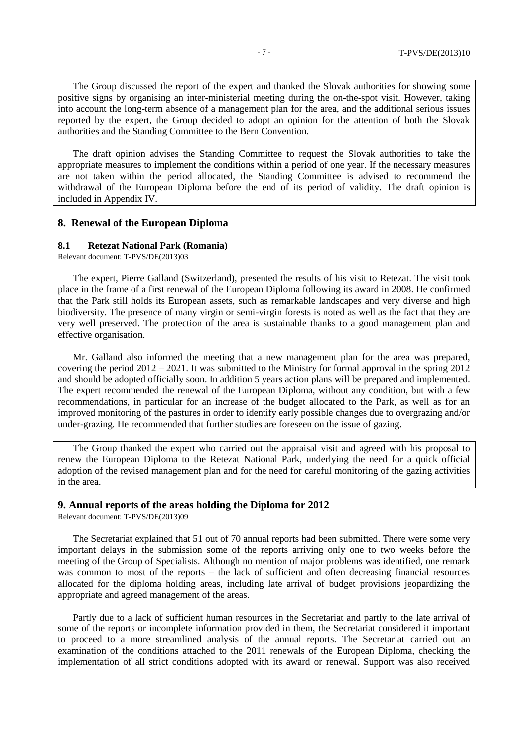The Group discussed the report of the expert and thanked the Slovak authorities for showing some positive signs by organising an inter-ministerial meeting during the on-the-spot visit. However, taking into account the long-term absence of a management plan for the area, and the additional serious issues reported by the expert, the Group decided to adopt an opinion for the attention of both the Slovak authorities and the Standing Committee to the Bern Convention.

The draft opinion advises the Standing Committee to request the Slovak authorities to take the appropriate measures to implement the conditions within a period of one year. If the necessary measures are not taken within the period allocated, the Standing Committee is advised to recommend the withdrawal of the European Diploma before the end of its period of validity. The draft opinion is included in Appendix IV.

### **8. Renewal of the European Diploma**

## **8.1 Retezat National Park (Romania)**

Relevant document: T-PVS/DE(2013)03

The expert, Pierre Galland (Switzerland), presented the results of his visit to Retezat. The visit took place in the frame of a first renewal of the European Diploma following its award in 2008. He confirmed that the Park still holds its European assets, such as remarkable landscapes and very diverse and high biodiversity. The presence of many virgin or semi-virgin forests is noted as well as the fact that they are very well preserved. The protection of the area is sustainable thanks to a good management plan and effective organisation.

Mr. Galland also informed the meeting that a new management plan for the area was prepared, covering the period  $2012 - 2021$ . It was submitted to the Ministry for formal approval in the spring 2012 and should be adopted officially soon. In addition 5 years action plans will be prepared and implemented. The expert recommended the renewal of the European Diploma, without any condition, but with a few recommendations, in particular for an increase of the budget allocated to the Park, as well as for an improved monitoring of the pastures in order to identify early possible changes due to overgrazing and/or under-grazing. He recommended that further studies are foreseen on the issue of gazing.

The Group thanked the expert who carried out the appraisal visit and agreed with his proposal to renew the European Diploma to the Retezat National Park, underlying the need for a quick official adoption of the revised management plan and for the need for careful monitoring of the gazing activities in the area.

#### **9. Annual reports of the areas holding the Diploma for 2012**

Relevant document: T-PVS/DE(2013)09

The Secretariat explained that 51 out of 70 annual reports had been submitted. There were some very important delays in the submission some of the reports arriving only one to two weeks before the meeting of the Group of Specialists. Although no mention of major problems was identified, one remark was common to most of the reports – the lack of sufficient and often decreasing financial resources allocated for the diploma holding areas, including late arrival of budget provisions jeopardizing the appropriate and agreed management of the areas.

Partly due to a lack of sufficient human resources in the Secretariat and partly to the late arrival of some of the reports or incomplete information provided in them, the Secretariat considered it important to proceed to a more streamlined analysis of the annual reports. The Secretariat carried out an examination of the conditions attached to the 2011 renewals of the European Diploma, checking the implementation of all strict conditions adopted with its award or renewal. Support was also received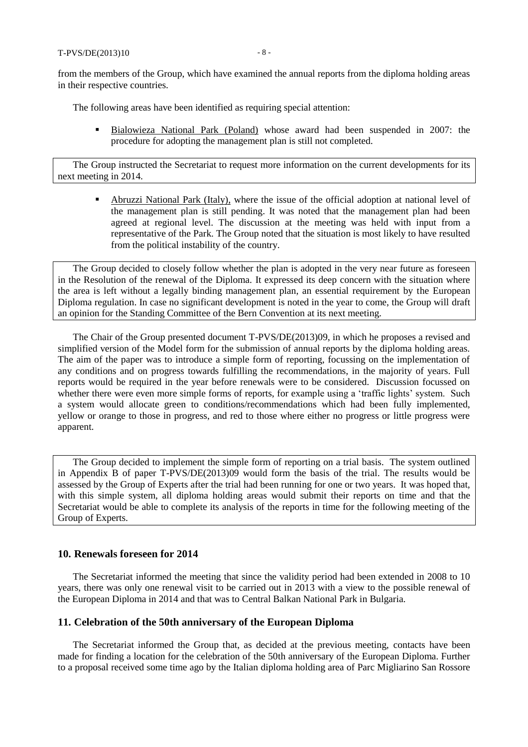from the members of the Group, which have examined the annual reports from the diploma holding areas in their respective countries.

The following areas have been identified as requiring special attention:

**Bialowieza National Park (Poland)** whose award had been suspended in 2007: the procedure for adopting the management plan is still not completed.

The Group instructed the Secretariat to request more information on the current developments for its next meeting in 2014.

 Abruzzi National Park (Italy), where the issue of the official adoption at national level of the management plan is still pending. It was noted that the management plan had been agreed at regional level. The discussion at the meeting was held with input from a representative of the Park. The Group noted that the situation is most likely to have resulted from the political instability of the country.

The Group decided to closely follow whether the plan is adopted in the very near future as foreseen in the Resolution of the renewal of the Diploma. It expressed its deep concern with the situation where the area is left without a legally binding management plan, an essential requirement by the European Diploma regulation. In case no significant development is noted in the year to come, the Group will draft an opinion for the Standing Committee of the Bern Convention at its next meeting.

The Chair of the Group presented document T-PVS/DE(2013)09, in which he proposes a revised and simplified version of the Model form for the submission of annual reports by the diploma holding areas. The aim of the paper was to introduce a simple form of reporting, focussing on the implementation of any conditions and on progress towards fulfilling the recommendations, in the majority of years. Full reports would be required in the year before renewals were to be considered. Discussion focussed on whether there were even more simple forms of reports, for example using a 'traffic lights' system. Such a system would allocate green to conditions/recommendations which had been fully implemented, yellow or orange to those in progress, and red to those where either no progress or little progress were apparent.

The Group decided to implement the simple form of reporting on a trial basis. The system outlined in Appendix B of paper T-PVS/DE(2013)09 would form the basis of the trial. The results would be assessed by the Group of Experts after the trial had been running for one or two years. It was hoped that, with this simple system, all diploma holding areas would submit their reports on time and that the Secretariat would be able to complete its analysis of the reports in time for the following meeting of the Group of Experts.

## **10. Renewals foreseen for 2014**

The Secretariat informed the meeting that since the validity period had been extended in 2008 to 10 years, there was only one renewal visit to be carried out in 2013 with a view to the possible renewal of the European Diploma in 2014 and that was to Central Balkan National Park in Bulgaria.

#### **11. Celebration of the 50th anniversary of the European Diploma**

The Secretariat informed the Group that, as decided at the previous meeting, contacts have been made for finding a location for the celebration of the 50th anniversary of the European Diploma. Further to a proposal received some time ago by the Italian diploma holding area of Parc Migliarino San Rossore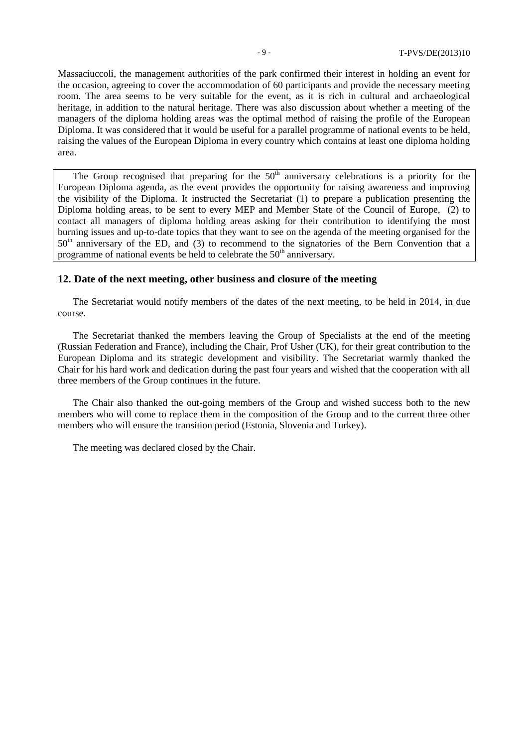Massaciuccoli, the management authorities of the park confirmed their interest in holding an event for the occasion, agreeing to cover the accommodation of 60 participants and provide the necessary meeting room. The area seems to be very suitable for the event, as it is rich in cultural and archaeological heritage, in addition to the natural heritage. There was also discussion about whether a meeting of the managers of the diploma holding areas was the optimal method of raising the profile of the European Diploma. It was considered that it would be useful for a parallel programme of national events to be held, raising the values of the European Diploma in every country which contains at least one diploma holding area.

The Group recognised that preparing for the  $50<sup>th</sup>$  anniversary celebrations is a priority for the European Diploma agenda, as the event provides the opportunity for raising awareness and improving the visibility of the Diploma. It instructed the Secretariat (1) to prepare a publication presenting the Diploma holding areas, to be sent to every MEP and Member State of the Council of Europe, (2) to contact all managers of diploma holding areas asking for their contribution to identifying the most burning issues and up-to-date topics that they want to see on the agenda of the meeting organised for the 50<sup>th</sup> anniversary of the ED, and (3) to recommend to the signatories of the Bern Convention that a programme of national events be held to celebrate the  $50<sup>th</sup>$  anniversary.

## **12. Date of the next meeting, other business and closure of the meeting**

The Secretariat would notify members of the dates of the next meeting, to be held in 2014, in due course.

The Secretariat thanked the members leaving the Group of Specialists at the end of the meeting (Russian Federation and France), including the Chair, Prof Usher (UK), for their great contribution to the European Diploma and its strategic development and visibility. The Secretariat warmly thanked the Chair for his hard work and dedication during the past four years and wished that the cooperation with all three members of the Group continues in the future.

The Chair also thanked the out-going members of the Group and wished success both to the new members who will come to replace them in the composition of the Group and to the current three other members who will ensure the transition period (Estonia, Slovenia and Turkey).

The meeting was declared closed by the Chair.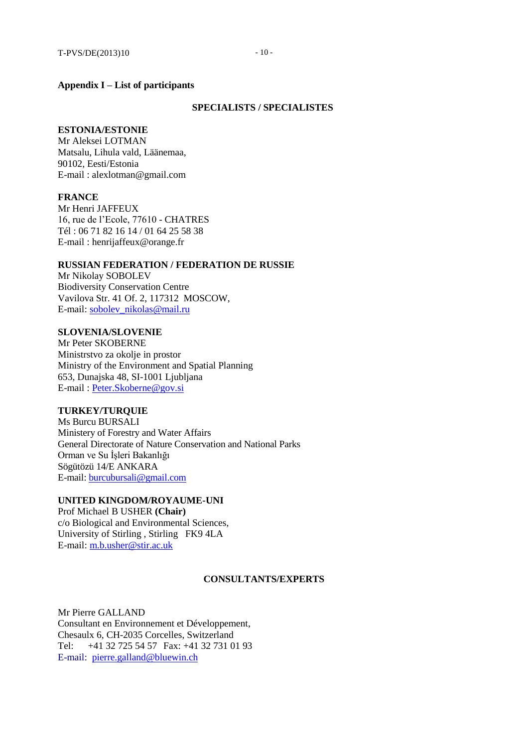#### **Appendix I – List of participants**

#### **SPECIALISTS / SPECIALISTES**

#### **ESTONIA/ESTONIE**

Mr Aleksei LOTMAN Matsalu, Lihula vald, Läänemaa, 90102, Eesti/Estonia E-mail : alexlotman@gmail.com

#### **FRANCE**

Mr Henri JAFFEUX 16, rue de l'Ecole, 77610 - CHATRES Tél : 06 71 82 16 14 / 01 64 25 58 38 E-mail [: henrijaffeux@orange.fr](mailto:henrijaffeux@orange.fr)

#### **RUSSIAN FEDERATION / FEDERATION DE RUSSIE**

Mr Nikolay SOBOLEV Biodiversity Conservation Centre Vavilova Str. 41 Of. 2, 117312 MOSCOW, E-mail: [sobolev\\_nikolas@mail.ru](mailto:sobolev_nikolas@mail.ru)

### **SLOVENIA/SLOVENIE**

Mr Peter SKOBERNE Ministrstvo za okolje in prostor Ministry of the Environment and Spatial Planning 653, Dunajska 48, SI-1001 Ljubljana E-mail [: Peter.Skoberne@gov.si](mailto:Peter.Skoberne@gov.si)

## **TURKEY/TURQUIE**

Ms Burcu BURSALI Ministery of Forestry and Water Affairs General Directorate of Nature Conservation and National Parks Orman ve Su İşleri Bakanlığı Sögütözü 14/E ANKARA E-mail: [burcubursali@gmail.com](mailto:burcubursali@gmail.com)

### **UNITED KINGDOM/ROYAUME-UNI**

Prof Michael B USHER **(Chair)** c/o Biological and Environmental Sciences, University of Stirling , Stirling FK9 4LA E-mail: [m.b.usher@stir.ac.uk](mailto:m.b.usher@stir.ac.uk)

#### **CONSULTANTS/EXPERTS**

Mr Pierre GALLAND Consultant en Environnement et Développement, Chesaulx 6, CH-2035 Corcelles, Switzerland Tel: +41 32 725 54 57 Fax: +41 32 731 01 93 E-mail: [pierre.galland@bluewin.ch](mailto:pierre.galland@bluewin.ch)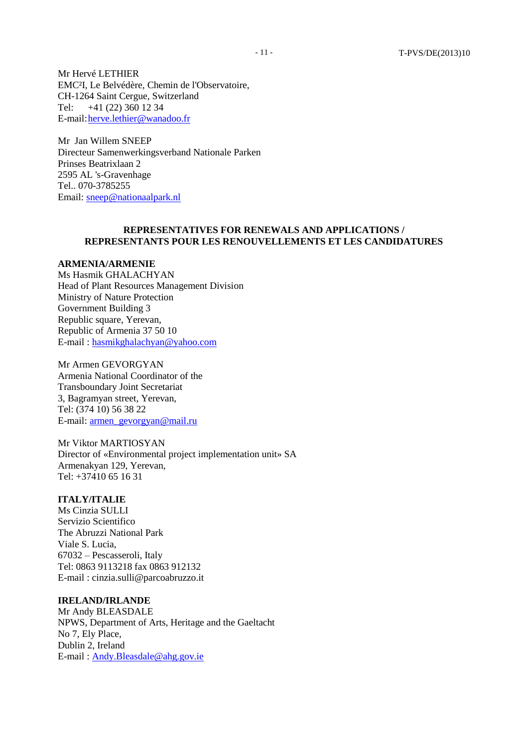Mr Hervé LETHIER EMC²I, Le Belvédère, Chemin de l'Observatoire, CH-1264 Saint Cergue, Switzerland Tel: +41 (22) 360 12 34 E-mail[:herve.lethier@wanadoo.fr](mailto:herve.lethier@wanadoo.fr)

Mr Jan Willem SNEEP Directeur Samenwerkingsverband Nationale Parken Prinses Beatrixlaan 2 2595 AL 's-Gravenhage Tel.. 070-3785255 Email: [sneep@nationaalpark.nl](mailto:sneep@nationaalpark.nl)

### **REPRESENTATIVES FOR RENEWALS AND APPLICATIONS / REPRESENTANTS POUR LES RENOUVELLEMENTS ET LES CANDIDATURES**

#### **ARMENIA/ARMENIE**

Ms Hasmik GHALACHYAN Head of Plant Resources Management Division Ministry of Nature Protection Government Building 3 Republic square, Yerevan, Republic of Armenia 37 50 10 E-mail [: hasmikghalachyan@yahoo.com](mailto:hasmikghalachyan@yahoo.com)

Mr Armen GEVORGYAN Armenia National Coordinator of the Transboundary Joint Secretariat 3, Bagramyan street, Yerevan, Tel: (374 10) 56 38 22 E-mail: [armen\\_gevorgyan@mail.ru](mailto:armen_gevorgyan@mail.ru)

Mr Viktor MARTIOSYAN Director of «Environmental project implementation unit» SA Armenakyan 129, Yerevan, Tel: +37410 65 16 31

## **ITALY/ITALIE**

Ms Cinzia SULLI Servizio Scientifico The Abruzzi National Park Viale S. Lucia, 67032 – Pescasseroli, Italy Tel: 0863 9113218 fax 0863 912132 E-mail [: cinzia.sulli@parcoabruzzo.it](mailto:cinzia.sulli@parcoabruzzo.it)

### **IRELAND/IRLANDE**

Mr Andy BLEASDALE NPWS, Department of Arts, Heritage and the Gaeltacht No 7, Ely Place, Dublin 2, Ireland E-mail [: Andy.Bleasdale@ahg.gov.ie](mailto:Andy.Bleasdale@ahg.gov.ie)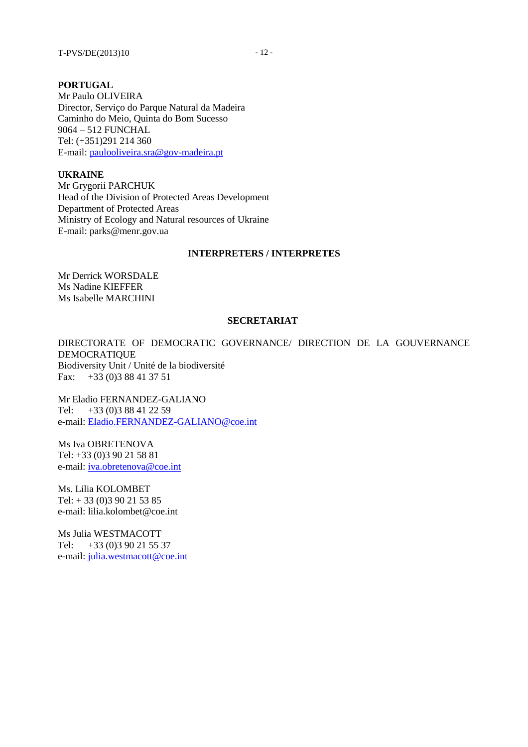### **PORTUGAL**

Mr Paulo OLIVEIRA Director, Serviço do Parque Natural da Madeira Caminho do Meio, Quinta do Bom Sucesso 9064 – 512 FUNCHAL Tel: (+351)291 214 360 E-mail: [paulooliveira.sra@gov-madeira.pt](mailto:paulooliveira.sra@gov-madeira.pt)

**UKRAINE**

Mr Grygorii PARCHUK Head of the Division of Protected Areas Development Department of Protected Areas Ministry of Ecology and Natural resources of Ukraine E-mail: parks@menr.gov.ua

#### **INTERPRETERS / INTERPRETES**

Mr Derrick WORSDALE Ms Nadine KIEFFER Ms Isabelle MARCHINI

#### **SECRETARIAT**

DIRECTORATE OF DEMOCRATIC GOVERNANCE/ DIRECTION DE LA GOUVERNANCE DEMOCRATIQUE Biodiversity Unit / Unité de la biodiversité Fax: +33 (0)3 88 41 37 51

Mr Eladio FERNANDEZ-GALIANO Tel: +33 (0)3 88 41 22 59 e-mail: [Eladio.FERNANDEZ-GALIANO@coe.int](mailto:Gianluca.SILVESTRINI@coe.int)

Ms Iva OBRETENOVA Tel: +33 (0)3 90 21 58 81 e-mail: [iva.obretenova@coe.int](mailto:iva.obretenova@coe.int)

Ms. Lilia KOLOMBET Tel: + 33 (0)3 90 21 53 85

e-mail: lilia.kolombet@coe.int

Ms Julia WESTMACOTT Tel: +33 (0)3 90 21 55 37

e-mail: [julia.westmacott@coe.int](mailto:julia.westmacott@coe.int)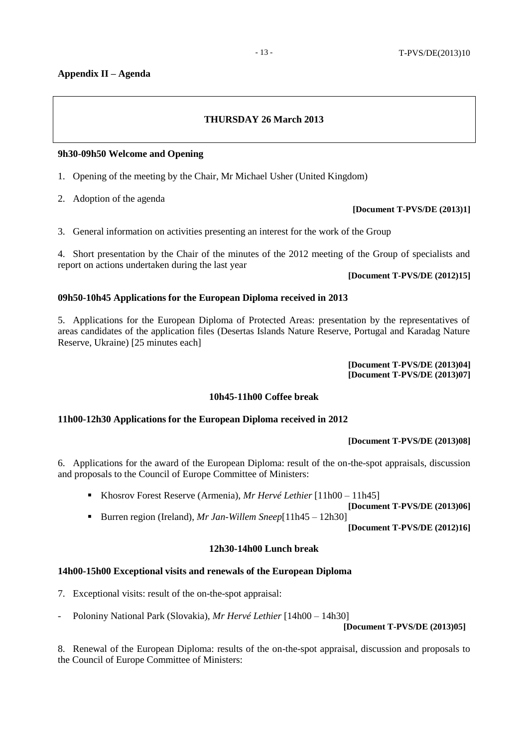## **Appendix II – Agenda**

## **THURSDAY 26 March 2013**

## **9h30-09h50 Welcome and Opening**

- 1. Opening of the meeting by the Chair, Mr Michael Usher (United Kingdom)
- 2. Adoption of the agenda
- 3. General information on activities presenting an interest for the work of the Group

4. Short presentation by the Chair of the minutes of the 2012 meeting of the Group of specialists and report on actions undertaken during the last year

## **[Document T-PVS/DE (2012)15]**

**[Document T-PVS/DE (2013)1]**

## **09h50-10h45 Applications for the European Diploma received in 2013**

5. Applications for the European Diploma of Protected Areas: presentation by the representatives of areas candidates of the application files (Desertas Islands Nature Reserve, Portugal and Karadag Nature Reserve, Ukraine) [25 minutes each]

> **[Document T-PVS/DE (2013)04] [Document T-PVS/DE (2013)07]**

## **10h45-11h00 Coffee break**

## **11h00-12h30 Applications for the European Diploma received in 2012**

## **[Document T-PVS/DE (2013)08]**

6. Applications for the award of the European Diploma: result of the on-the-spot appraisals, discussion and proposals to the Council of Europe Committee of Ministers:

Khosrov Forest Reserve (Armenia), *Mr Hervé Lethier* [11h00 – 11h45]

**[Document T-PVS/DE (2013)06]**

■ Burren region (Ireland), *Mr Jan-Willem Sneep*[11h45 – 12h30]

**[Document T-PVS/DE (2012)16]**

## **12h30-14h00 Lunch break**

## **14h00-15h00 Exceptional visits and renewals of the European Diploma**

- 7. Exceptional visits: result of the on-the-spot appraisal:
- Poloniny National Park (Slovakia), *Mr Hervé Lethier* [14h00 14h30]

**[Document T-PVS/DE (2013)05]**

8. Renewal of the European Diploma: results of the on-the-spot appraisal, discussion and proposals to the Council of Europe Committee of Ministers: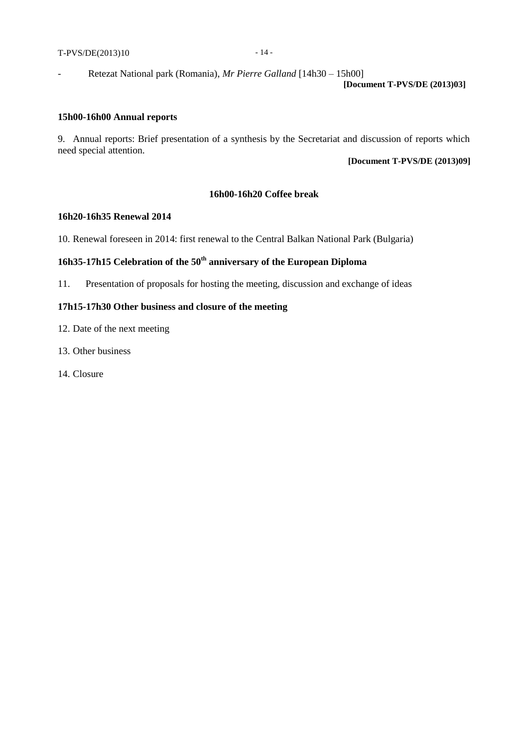### T-PVS/DE(2013)10 - 14 -

- Retezat National park (Romania), *Mr Pierre Galland* [14h30 – 15h00]

### **[Document T-PVS/DE (2013)03]**

#### **15h00-16h00 Annual reports**

9. Annual reports: Brief presentation of a synthesis by the Secretariat and discussion of reports which need special attention.

### **[Document T-PVS/DE (2013)09]**

### **16h00-16h20 Coffee break**

#### **16h20-16h35 Renewal 2014**

10. Renewal foreseen in 2014: first renewal to the Central Balkan National Park (Bulgaria)

## **16h35-17h15 Celebration of the 50th anniversary of the European Diploma**

11. Presentation of proposals for hosting the meeting, discussion and exchange of ideas

## **17h15-17h30 Other business and closure of the meeting**

- 12. Date of the next meeting
- 13. Other business
- 14. Closure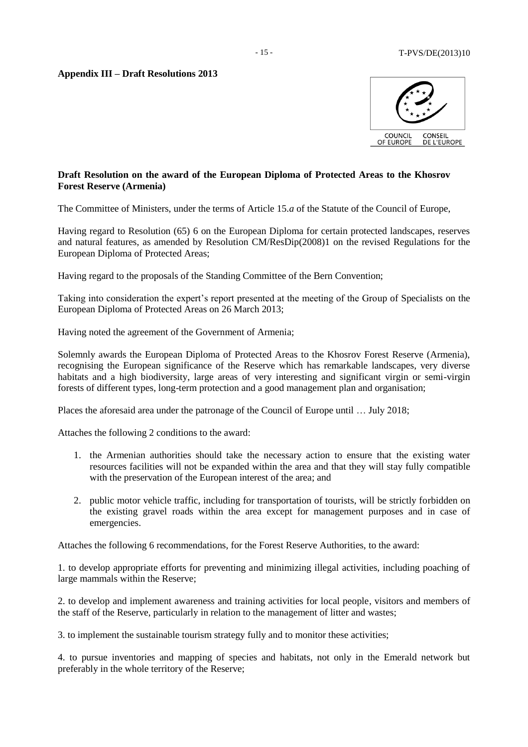

## **Draft Resolution on the award of the European Diploma of Protected Areas to the Khosrov Forest Reserve (Armenia)**

The Committee of Ministers, under the terms of Article 15.*a* of the Statute of the Council of Europe,

Having regard to Resolution (65) 6 on the European Diploma for certain protected landscapes, reserves and natural features, as amended by Resolution CM/ResDip(2008)1 on the revised Regulations for the European Diploma of Protected Areas;

Having regard to the proposals of the Standing Committee of the Bern Convention;

Taking into consideration the expert's report presented at the meeting of the Group of Specialists on the European Diploma of Protected Areas on 26 March 2013;

Having noted the agreement of the Government of Armenia;

Solemnly awards the European Diploma of Protected Areas to the Khosrov Forest Reserve (Armenia), recognising the European significance of the Reserve which has remarkable landscapes, very diverse habitats and a high biodiversity, large areas of very interesting and significant virgin or semi-virgin forests of different types, long-term protection and a good management plan and organisation;

Places the aforesaid area under the patronage of the Council of Europe until … July 2018;

Attaches the following 2 conditions to the award:

- 1. the Armenian authorities should take the necessary action to ensure that the existing water resources facilities will not be expanded within the area and that they will stay fully compatible with the preservation of the European interest of the area; and
- 2. public motor vehicle traffic, including for transportation of tourists, will be strictly forbidden on the existing gravel roads within the area except for management purposes and in case of emergencies.

Attaches the following 6 recommendations, for the Forest Reserve Authorities, to the award:

1. to develop appropriate efforts for preventing and minimizing illegal activities, including poaching of large mammals within the Reserve;

2. to develop and implement awareness and training activities for local people, visitors and members of the staff of the Reserve, particularly in relation to the management of litter and wastes;

3. to implement the sustainable tourism strategy fully and to monitor these activities;

4. to pursue inventories and mapping of species and habitats, not only in the Emerald network but preferably in the whole territory of the Reserve;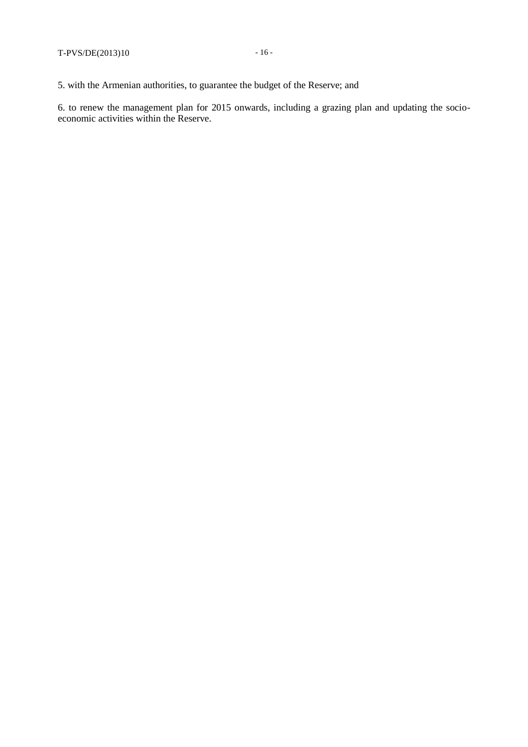5. with the Armenian authorities, to guarantee the budget of the Reserve; and

6. to renew the management plan for 2015 onwards, including a grazing plan and updating the socioeconomic activities within the Reserve.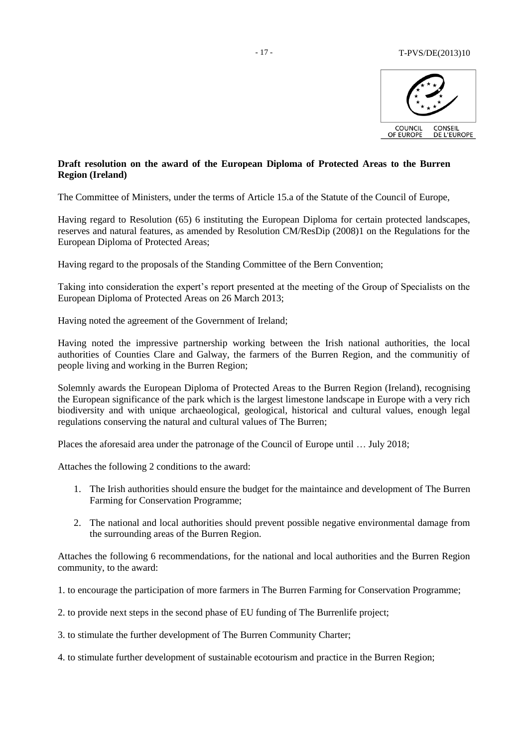

## **Draft resolution on the award of the European Diploma of Protected Areas to the Burren Region (Ireland)**

The Committee of Ministers, under the terms of Article 15.a of the Statute of the Council of Europe,

Having regard to Resolution (65) 6 instituting the European Diploma for certain protected landscapes, reserves and natural features, as amended by Resolution CM/ResDip (2008)1 on the Regulations for the European Diploma of Protected Areas;

Having regard to the proposals of the Standing Committee of the Bern Convention;

Taking into consideration the expert's report presented at the meeting of the Group of Specialists on the European Diploma of Protected Areas on 26 March 2013;

Having noted the agreement of the Government of Ireland;

Having noted the impressive partnership working between the Irish national authorities, the local authorities of Counties Clare and Galway, the farmers of the Burren Region, and the communitiy of people living and working in the Burren Region;

Solemnly awards the European Diploma of Protected Areas to the Burren Region (Ireland), recognising the European significance of the park which is the largest limestone landscape in Europe with a very rich biodiversity and with unique archaeological, geological, historical and cultural values, enough legal regulations conserving the natural and cultural values of The Burren;

Places the aforesaid area under the patronage of the Council of Europe until … July 2018;

Attaches the following 2 conditions to the award:

- 1. The Irish authorities should ensure the budget for the maintaince and development of The Burren Farming for Conservation Programme;
- 2. The national and local authorities should prevent possible negative environmental damage from the surrounding areas of the Burren Region.

Attaches the following 6 recommendations, for the national and local authorities and the Burren Region community, to the award:

- 1. to encourage the participation of more farmers in The Burren Farming for Conservation Programme;
- 2. to provide next steps in the second phase of EU funding of The Burrenlife project;
- 3. to stimulate the further development of The Burren Community Charter;

4. to stimulate further development of sustainable ecotourism and practice in the Burren Region;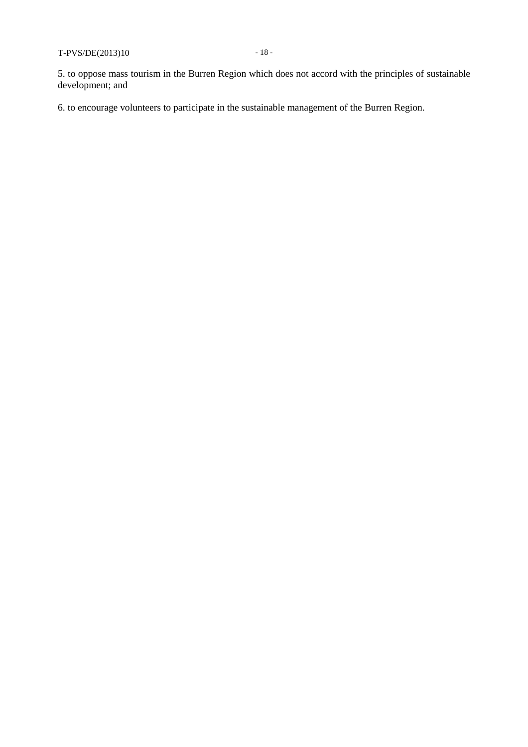5. to oppose mass tourism in the Burren Region which does not accord with the principles of sustainable development; and

6. to encourage volunteers to participate in the sustainable management of the Burren Region.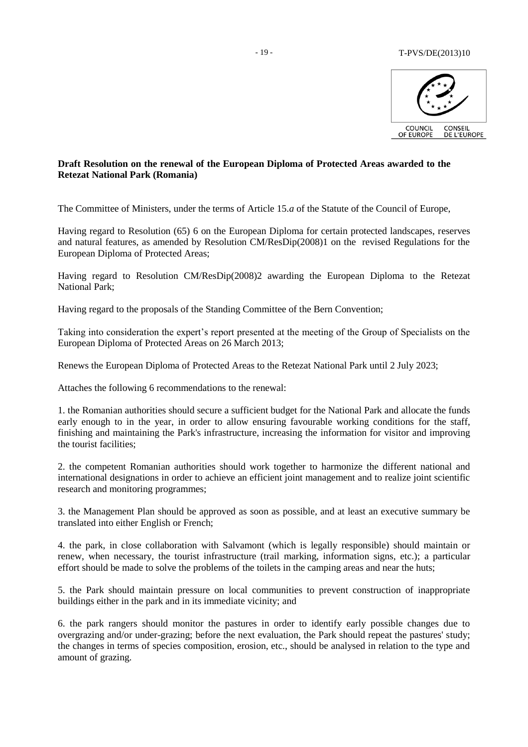

## **Draft Resolution on the renewal of the European Diploma of Protected Areas awarded to the Retezat National Park (Romania)**

The Committee of Ministers, under the terms of Article 15.*a* of the Statute of the Council of Europe,

Having regard to Resolution (65) 6 on the European Diploma for certain protected landscapes, reserves and natural features, as amended by Resolution CM/ResDip(2008)1 on the revised Regulations for the European Diploma of Protected Areas;

Having regard to Resolution CM/ResDip(2008)2 awarding the European Diploma to the Retezat National Park;

Having regard to the proposals of the Standing Committee of the Bern Convention;

Taking into consideration the expert's report presented at the meeting of the Group of Specialists on the European Diploma of Protected Areas on 26 March 2013;

Renews the European Diploma of Protected Areas to the Retezat National Park until 2 July 2023;

Attaches the following 6 recommendations to the renewal:

1. the Romanian authorities should secure a sufficient budget for the National Park and allocate the funds early enough to in the year, in order to allow ensuring favourable working conditions for the staff, finishing and maintaining the Park's infrastructure, increasing the information for visitor and improving the tourist facilities;

2. the competent Romanian authorities should work together to harmonize the different national and international designations in order to achieve an efficient joint management and to realize joint scientific research and monitoring programmes;

3. the Management Plan should be approved as soon as possible, and at least an executive summary be translated into either English or French;

4. the park, in close collaboration with Salvamont (which is legally responsible) should maintain or renew, when necessary, the tourist infrastructure (trail marking, information signs, etc.); a particular effort should be made to solve the problems of the toilets in the camping areas and near the huts;

5. the Park should maintain pressure on local communities to prevent construction of inappropriate buildings either in the park and in its immediate vicinity; and

6. the park rangers should monitor the pastures in order to identify early possible changes due to overgrazing and/or under-grazing; before the next evaluation, the Park should repeat the pastures' study; the changes in terms of species composition, erosion, etc., should be analysed in relation to the type and amount of grazing.